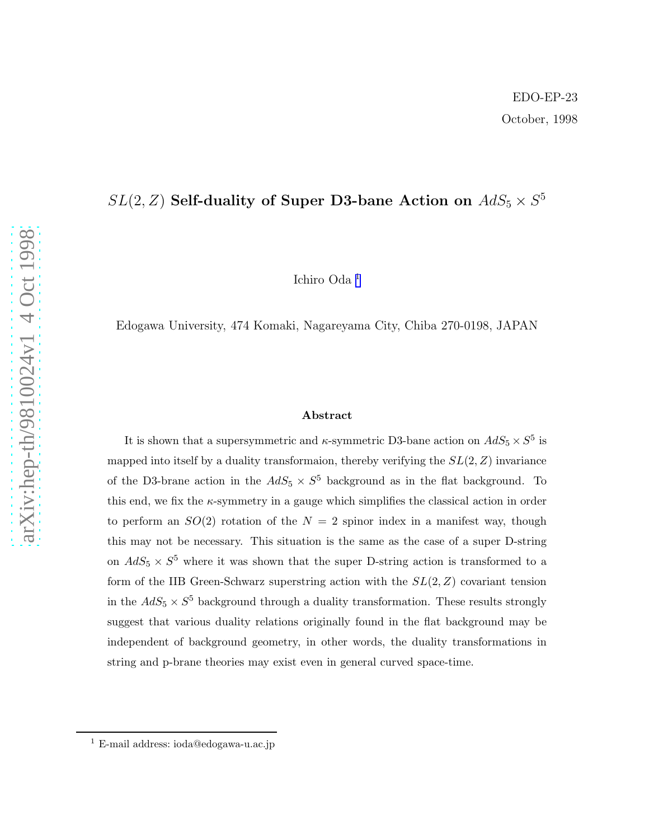## $SL(2,Z)$  Self-duality of Super D3-bane Action on  $AdS_5 \times S^5$

Ichiro Oda 1

Edogawa University, 474 Komaki, Nagareyama City, Chiba 270-0198, JAPAN

#### Abstract

It is shown that a supersymmetric and  $\kappa$ -symmetric D3-bane action on  $AdS_5 \times S^5$  is mapped into itself by a duality transformaion, thereby verifying the  $SL(2, Z)$  invariance of the D3-brane action in the  $AdS_5 \times S^5$  background as in the flat background. To this end, we fix the  $\kappa$ -symmetry in a gauge which simplifies the classical action in order to perform an  $SO(2)$  rotation of the  $N = 2$  spinor index in a manifest way, though this may not be necessary. This situation is the same as the case of a super D-string on  $AdS_5 \times S^5$  where it was shown that the super D-string action is transformed to a form of the IIB Green-Schwarz superstring action with the  $SL(2, Z)$  covariant tension in the  $AdS_5 \times S^5$  background through a duality transformation. These results strongly suggest that various duality relations originally found in the flat background may be independent of background geometry, in other words, the duality transformations in string and p-brane theories may exist even in general curved space-time.

<sup>1</sup> E-mail address: ioda@edogawa-u.ac.jp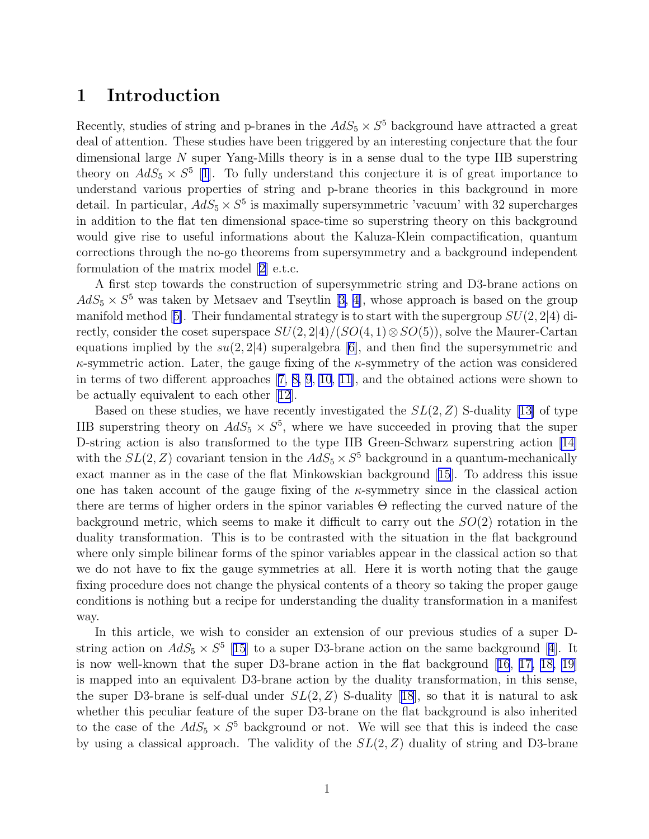#### 1 Introduction

Recently, studies of string and p-branes in the  $AdS_5 \times S^5$  background have attracted a great deal of attention. These studies have been triggered by an interesting conjecture that the four dimensional large  $N$  super Yang-Mills theory is in a sense dual to the type IIB superstring theory on  $AdS_5 \times S^5$  [[1\]](#page-10-0). To fully understand this conjecture it is of great importance to understand various properties of string and p-brane theories in this background in more detail. In particular,  $AdS_5 \times S^5$  is maximally supersymmetric 'vacuum' with 32 supercharges in addition to the flat ten dimensional space-time so superstring theory on this background would give rise to useful informations about the Kaluza-Klein compactification, quantum corrections through the no-go theorems from supersymmetry and a background independent formulation of the matrix model[[2\]](#page-10-0) e.t.c.

A first step towards the construction of supersymmetric string and D3-brane actions on  $AdS_5 \times S^5$  $AdS_5 \times S^5$  $AdS_5 \times S^5$  was taken by Metsaev and Tseytlin [[3, 4\]](#page-10-0), whose approach is based on the group manifoldmethod [[5\]](#page-10-0). Their fundamental strategy is to start with the supergroup  $SU(2, 2|4)$  directly, consider the coset superspace  $SU(2, 2|4)/(SO(4, 1) \otimes SO(5))$ , solve the Maurer-Cartan equations implied by the  $su(2, 2|4)$  superalgebra [\[6\]](#page-10-0), and then find the supersymmetric and  $\kappa$ -symmetric action. Later, the gauge fixing of the  $\kappa$ -symmetry of the action was considered in terms of two different approaches[[7, 8, 9](#page-10-0), [10](#page-10-0), [11\]](#page-10-0), and the obtained actions were shown to be actually equivalent to each other[[12](#page-10-0)].

Based on these studies, we have recently investigated the  $SL(2, Z)$  S-duality [\[13\]](#page-11-0) of type IIB superstring theory on  $AdS_5 \times S^5$ , where we have succeeded in proving that the super D-string action is also transformed to the type IIB Green-Schwarz superstring action [\[14\]](#page-11-0) with the  $SL(2, Z)$  covariant tension in the  $AdS_5 \times S^5$  background in a quantum-mechanically exact manner as in the case of the flat Minkowskian background[[15](#page-11-0)]. To address this issue one has taken account of the gauge fixing of the  $\kappa$ -symmetry since in the classical action there are terms of higher orders in the spinor variables Θ reflecting the curved nature of the background metric, which seems to make it difficult to carry out the  $SO(2)$  rotation in the duality transformation. This is to be contrasted with the situation in the flat background where only simple bilinear forms of the spinor variables appear in the classical action so that we do not have to fix the gauge symmetries at all. Here it is worth noting that the gauge fixing procedure does not change the physical contents of a theory so taking the proper gauge conditions is nothing but a recipe for understanding the duality transformation in a manifest way.

In this article, we wish to consider an extension of our previous studies of a super Dstringaction on  $AdS_5 \times S^5$  [\[15\]](#page-11-0) to a super D3-brane action on the same background [[4](#page-10-0)]. It is now well-known that the super D3-brane action in the flat background[[16](#page-11-0), [17, 18, 19\]](#page-11-0) is mapped into an equivalent D3-brane action by the duality transformation, in this sense, thesuper D3-brane is self-dual under  $SL(2, Z)$  S-duality [[18](#page-11-0)], so that it is natural to ask whether this peculiar feature of the super D3-brane on the flat background is also inherited to the case of the  $AdS_5 \times S^5$  background or not. We will see that this is indeed the case by using a classical approach. The validity of the  $SL(2, Z)$  duality of string and D3-brane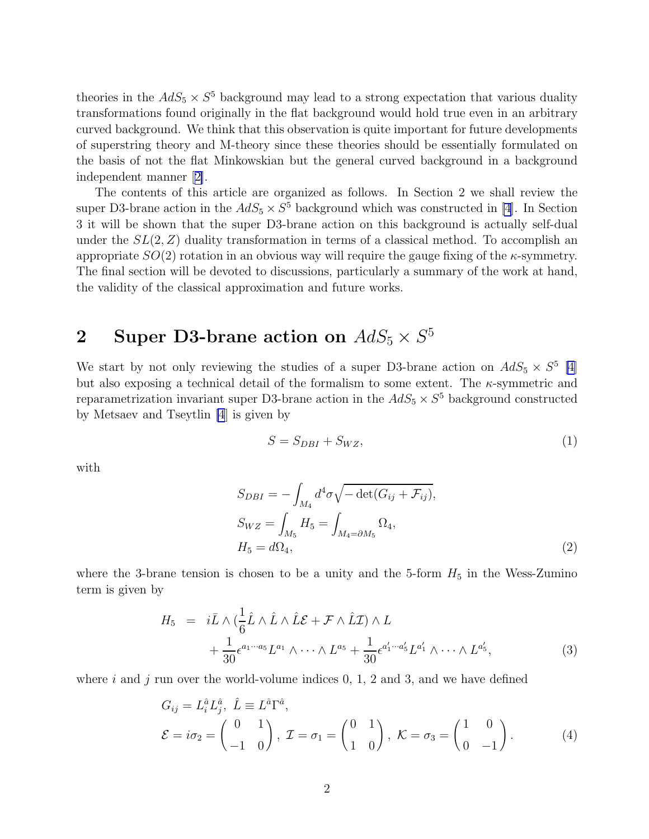<span id="page-2-0"></span>theories in the  $AdS_5 \times S^5$  background may lead to a strong expectation that various duality transformations found originally in the flat background would hold true even in an arbitrary curved background. We think that this observation is quite important for future developments of superstring theory and M-theory since these theories should be essentially formulated on the basis of not the flat Minkowskian but the general curved background in a background independent manner[[2\]](#page-10-0).

The contents of this article are organized as follows. In Section 2 we shall review the super D3-brane action in the  $AdS_5 \times S^5$  background which was constructed in [\[4](#page-10-0)]. In Section 3 it will be shown that the super D3-brane action on this background is actually self-dual under the  $SL(2, Z)$  duality transformation in terms of a classical method. To accomplish an appropriate  $SO(2)$  rotation in an obvious way will require the gauge fixing of the  $\kappa$ -symmetry. The final section will be devoted to discussions, particularly a summary of the work at hand, the validity of the classical approximation and future works.

# 2 Super D3-brane action on  $AdS_5 \times S^5$

We start by not only reviewing the studies of a super D3-brane action on  $AdS_5 \times S^5$  [\[4\]](#page-10-0) but also exposing a technical detail of the formalism to some extent. The  $\kappa$ -symmetric and reparametrization invariant super D3-brane action in the  $AdS_5 \times S^5$  background constructed by Metsaev and Tseytlin [\[4](#page-10-0)] is given by

$$
S = S_{DBI} + S_{WZ},\tag{1}
$$

with

$$
S_{DBI} = -\int_{M_4} d^4 \sigma \sqrt{-\det(G_{ij} + \mathcal{F}_{ij})},
$$
  
\n
$$
S_{WZ} = \int_{M_5} H_5 = \int_{M_4 = \partial M_5} \Omega_4,
$$
  
\n
$$
H_5 = d\Omega_4,
$$
\n(2)

where the 3-brane tension is chosen to be a unity and the 5-form  $H_5$  in the Wess-Zumino term is given by

$$
H_5 = i\bar{L} \wedge (\frac{1}{6}\hat{L} \wedge \hat{L} \wedge \hat{L}\mathcal{E} + \mathcal{F} \wedge \hat{L}\mathcal{I}) \wedge L + \frac{1}{30} \epsilon^{a_1 \cdots a_5} L^{a_1} \wedge \cdots \wedge L^{a_5} + \frac{1}{30} \epsilon^{a'_1 \cdots a'_5} L^{a'_1} \wedge \cdots \wedge L^{a'_5},
$$
(3)

where i and j run over the world-volume indices 0, 1, 2 and 3, and we have defined

$$
G_{ij} = L_i^{\hat{a}} L_j^{\hat{a}}, \quad \hat{L} \equiv L^{\hat{a}} \Gamma^{\hat{a}},
$$
  
\n
$$
\mathcal{E} = i\sigma_2 = \begin{pmatrix} 0 & 1 \\ -1 & 0 \end{pmatrix}, \quad \mathcal{I} = \sigma_1 = \begin{pmatrix} 0 & 1 \\ 1 & 0 \end{pmatrix}, \quad \mathcal{K} = \sigma_3 = \begin{pmatrix} 1 & 0 \\ 0 & -1 \end{pmatrix}.
$$
 (4)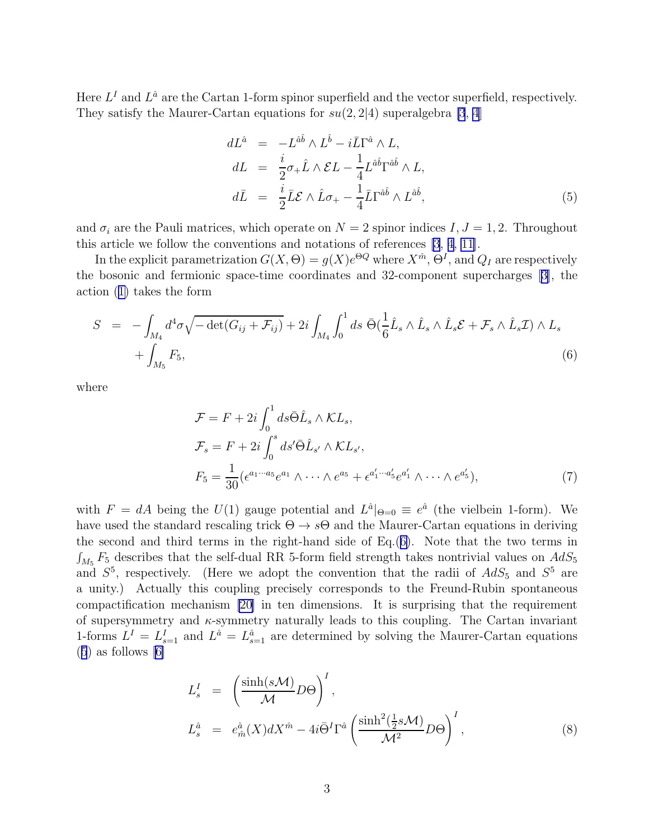<span id="page-3-0"></span>Here  $L^I$  and  $L^{\hat{a}}$  are the Cartan 1-form spinor superfield and the vector superfield, respectively. They satisfy the Maurer-Cartan equations for  $su(2, 2|4)$  superalgebra [\[3](#page-10-0), [4](#page-10-0)]

$$
dL^{\hat{a}} = -L^{\hat{a}\hat{b}} \wedge L^{\hat{b}} - i\bar{L}\Gamma^{\hat{a}} \wedge L,
$$
  
\n
$$
dL = \frac{i}{2}\sigma_{+}\hat{L} \wedge \mathcal{E}L - \frac{1}{4}L^{\hat{a}\hat{b}}\Gamma^{\hat{a}\hat{b}} \wedge L,
$$
  
\n
$$
d\bar{L} = \frac{i}{2}\bar{L}\mathcal{E} \wedge \hat{L}\sigma_{+} - \frac{1}{4}\bar{L}\Gamma^{\hat{a}\hat{b}} \wedge L^{\hat{a}\hat{b}},
$$
\n(5)

and  $\sigma_i$  are the Pauli matrices, which operate on  $N = 2$  spinor indices  $I, J = 1, 2$ . Throughout this article we follow the conventions and notations of references [\[3](#page-10-0), [4](#page-10-0), [11](#page-10-0)].

In the explicit parametrization  $G(X, \Theta) = g(X)e^{\Theta Q}$  where  $X^{\hat{m}}, \Theta^I$ , and  $Q_I$  are respectively the bosonic and fermionic space-time coordinates and 32-component supercharges[[3\]](#page-10-0), the action([1\)](#page-2-0) takes the form

$$
S = -\int_{M_4} d^4 \sigma \sqrt{-\det(G_{ij} + \mathcal{F}_{ij})} + 2i \int_{M_4} \int_0^1 ds \ \bar{\Theta}(\frac{1}{6}\hat{L}_s \wedge \hat{L}_s \wedge \hat{L}_s \mathcal{E} + \mathcal{F}_s \wedge \hat{L}_s \mathcal{I}) \wedge L_s
$$
  
+ 
$$
\int_{M_5} F_5,
$$
 (6)

where

$$
\mathcal{F} = F + 2i \int_0^1 ds \bar{\Theta} \hat{L}_s \wedge \mathcal{K}L_s,
$$
  
\n
$$
\mathcal{F}_s = F + 2i \int_0^s ds' \bar{\Theta} \hat{L}_{s'} \wedge \mathcal{K}L_{s'},
$$
  
\n
$$
F_5 = \frac{1}{30} (\epsilon^{a_1 \cdots a_5} e^{a_1} \wedge \cdots \wedge e^{a_5} + \epsilon^{a'_1 \cdots a'_5} e^{a'_1} \wedge \cdots \wedge e^{a'_5}),
$$
\n(7)

with  $F = dA$  being the  $U(1)$  gauge potential and  $L^{\hat{a}}|_{\Theta=0} \equiv e^{\hat{a}}$  (the vielbein 1-form). We have used the standard rescaling trick  $\Theta \rightarrow s\Theta$  and the Maurer-Cartan equations in deriving the second and third terms in the right-hand side of Eq.(6). Note that the two terms in  $\int_{M_5} F_5$  describes that the self-dual RR 5-form field strength takes nontrivial values on  $AdS_5$ and  $S^5$ , respectively. (Here we adopt the convention that the radii of  $AdS_5$  and  $S^5$  are a unity.) Actually this coupling precisely corresponds to the Freund-Rubin spontaneous compactification mechanism [\[20\]](#page-11-0) in ten dimensions. It is surprising that the requirement of supersymmetry and  $\kappa$ -symmetry naturally leads to this coupling. The Cartan invariant 1-forms  $L^I = L_{s=1}^I$  and  $L^{\hat{a}} = L_{s=1}^{\hat{a}}$  are determined by solving the Maurer-Cartan equations  $(5)$ as follows  $[6]$  $[6]$ 

$$
L_s^I = \left(\frac{\sinh(s\mathcal{M})}{\mathcal{M}}D\Theta\right)^I,
$$
  
\n
$$
L_s^{\hat{a}} = e_{\hat{m}}^{\hat{a}}(X)dX^{\hat{m}} - 4i\bar{\Theta}^I\Gamma^{\hat{a}}\left(\frac{\sinh^2(\frac{1}{2}s\mathcal{M})}{\mathcal{M}^2}D\Theta\right)^I,
$$
\n(8)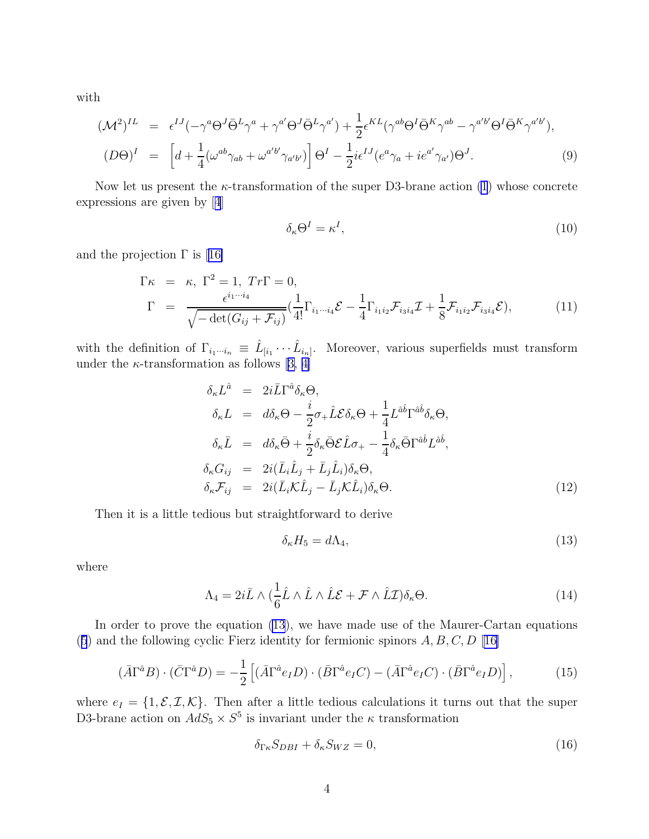<span id="page-4-0"></span>with

$$
(\mathcal{M}^2)^{IL} = \epsilon^{IJ}(-\gamma^a \Theta^J \bar{\Theta}^L \gamma^a + \gamma^{a'} \Theta^J \bar{\Theta}^L \gamma^{a'}) + \frac{1}{2} \epsilon^{KL}(\gamma^{ab} \Theta^I \bar{\Theta}^K \gamma^{ab} - \gamma^{a'b'} \Theta^I \bar{\Theta}^K \gamma^{a'b'}),
$$
  
\n
$$
(D\Theta)^I = \left[d + \frac{1}{4}(\omega^{ab}\gamma_{ab} + \omega^{a'b'}\gamma_{a'b'})\right] \Theta^I - \frac{1}{2}i\epsilon^{IJ}(e^a\gamma_a + ie^{a'}\gamma_{a'})\Theta^J.
$$
\n(9)

Now let us present the  $\kappa$ -transformation of the super D3-brane action [\(1](#page-2-0)) whose concrete expressions are given by[[4](#page-10-0)]

$$
\delta_{\kappa} \Theta^I = \kappa^I,\tag{10}
$$

andthe projection  $\Gamma$  is [[16\]](#page-11-0)

$$
\Gamma \kappa = \kappa, \ \Gamma^2 = 1, \ Tr\Gamma = 0,
$$
\n
$$
\Gamma = \frac{\epsilon^{i_1 \cdots i_4}}{\sqrt{-\det(G_{ij} + \mathcal{F}_{ij})}} \left(\frac{1}{4!} \Gamma_{i_1 \cdots i_4} \mathcal{E} - \frac{1}{4} \Gamma_{i_1 i_2} \mathcal{F}_{i_3 i_4} \mathcal{I} + \frac{1}{8} \mathcal{F}_{i_1 i_2} \mathcal{F}_{i_3 i_4} \mathcal{E}\right),
$$
\n(11)

with the definition of  $\Gamma_{i_1\cdots i_n} \equiv \hat{L}_{[i_1}\cdots \hat{L}_{i_n]}$ . Moreover, various superfields must transform underthe  $\kappa$ -transformation as follows [[3, 4\]](#page-10-0)

$$
\delta_{\kappa}L^{\hat{a}} = 2i\bar{L}\Gamma^{\hat{a}}\delta_{\kappa}\Theta,
$$
\n
$$
\delta_{\kappa}L = d\delta_{\kappa}\Theta - \frac{i}{2}\sigma_{+}\hat{L}\mathcal{E}\delta_{\kappa}\Theta + \frac{1}{4}L^{\hat{a}\hat{b}}\Gamma^{\hat{a}\hat{b}}\delta_{\kappa}\Theta,
$$
\n
$$
\delta_{\kappa}\bar{L} = d\delta_{\kappa}\bar{\Theta} + \frac{i}{2}\delta_{\kappa}\bar{\Theta}\mathcal{E}\hat{L}\sigma_{+} - \frac{1}{4}\delta_{\kappa}\bar{\Theta}\Gamma^{\hat{a}\hat{b}}L^{\hat{a}\hat{b}},
$$
\n
$$
\delta_{\kappa}G_{ij} = 2i(\bar{L}_{i}\hat{L}_{j} + \bar{L}_{j}\hat{L}_{i})\delta_{\kappa}\Theta,
$$
\n
$$
\delta_{\kappa}\mathcal{F}_{ij} = 2i(\bar{L}_{i}\mathcal{K}\hat{L}_{j} - \bar{L}_{j}\mathcal{K}\hat{L}_{i})\delta_{\kappa}\Theta.
$$
\n(12)

Then it is a little tedious but straightforward to derive

$$
\delta_{\kappa} H_5 = d\Lambda_4,\tag{13}
$$

where

$$
\Lambda_4 = 2i\bar{L} \wedge (\frac{1}{6}\hat{L} \wedge \hat{L} \wedge \hat{L}\mathcal{E} + \mathcal{F} \wedge \hat{L}\mathcal{I})\delta_\kappa\Theta.
$$
 (14)

In order to prove the equation (13), we have made use of the Maurer-Cartan equations ([5](#page-3-0)) and the following cyclic Fierz identity for fermionic spinors  $A, B, C, D$  [[16\]](#page-11-0)

$$
(\bar{A}\Gamma^{\hat{a}}B)\cdot(\bar{C}\Gamma^{\hat{a}}D) = -\frac{1}{2}\left[ (\bar{A}\Gamma^{\hat{a}}e_{I}D)\cdot(\bar{B}\Gamma^{\hat{a}}e_{I}C) - (\bar{A}\Gamma^{\hat{a}}e_{I}C)\cdot(\bar{B}\Gamma^{\hat{a}}e_{I}D) \right],\tag{15}
$$

where  $e_I = \{1, \mathcal{E}, \mathcal{I}, \mathcal{K}\}\.$  Then after a little tedious calculations it turns out that the super D3-brane action on  $AdS_5 \times S^5$  is invariant under the  $\kappa$  transformation

$$
\delta_{\Gamma\kappa} S_{DBI} + \delta_{\kappa} S_{WZ} = 0,\tag{16}
$$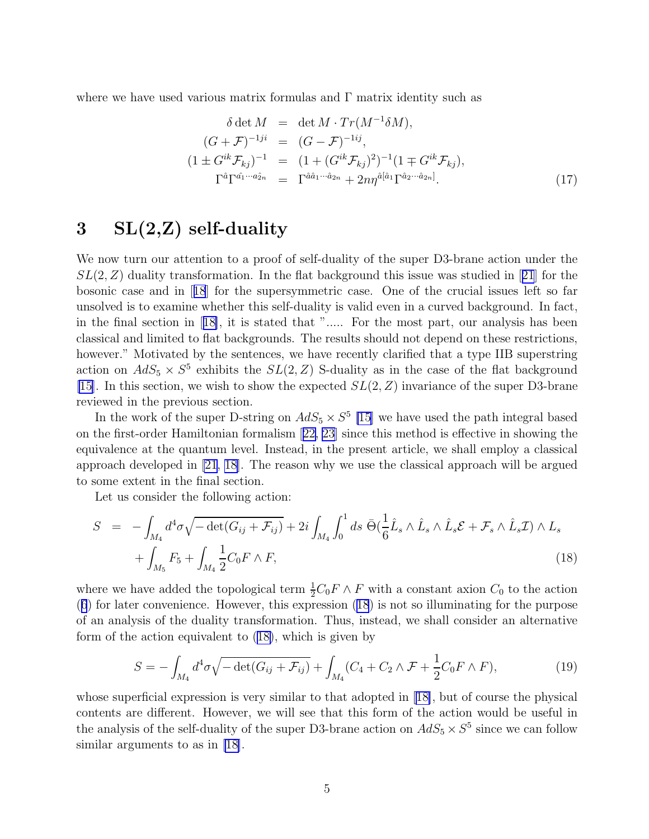<span id="page-5-0"></span>where we have used various matrix formulas and  $\Gamma$  matrix identity such as

$$
\delta \det M = \det M \cdot Tr(M^{-1}\delta M),
$$
  
\n
$$
(G + \mathcal{F})^{-1ji} = (G - \mathcal{F})^{-1ij},
$$
  
\n
$$
(1 \pm G^{ik}\mathcal{F}_{kj})^{-1} = (1 + (G^{ik}\mathcal{F}_{kj})^2)^{-1}(1 \mp G^{ik}\mathcal{F}_{kj}),
$$
  
\n
$$
\Gamma^{\hat{a}}\Gamma^{\hat{a}_{1}\cdots\hat{a}_{2n}} = \Gamma^{\hat{a}\hat{a}_{1}\cdots\hat{a}_{2n}} + 2n\eta^{\hat{a}[\hat{a}_{1}\Gamma^{\hat{a}_{2}\cdots\hat{a}_{2n}]}.
$$
\n(17)

## $3\quad SL(2,\mathbb{Z})$  self-duality

We now turn our attention to a proof of self-duality of the super D3-brane action under the  $SL(2, Z)$  $SL(2, Z)$  $SL(2, Z)$  duality transformation. In the flat background this issue was studied in [[21](#page-11-0)] for the bosonic case and in[[18](#page-11-0)] for the supersymmetric case. One of the crucial issues left so far unsolved is to examine whether this self-duality is valid even in a curved background. In fact, in the final section in[[18\]](#page-11-0), it is stated that "..... For the most part, our analysis has been classical and limited to flat backgrounds. The results should not depend on these restrictions, however." Motivated by the sentences, we have recently clarified that a type IIB superstring action on  $AdS_5 \times S^5$  exhibits the  $SL(2, Z)$  S-duality as in the case of the flat background [\[15\]](#page-11-0). In this section, we wish to show the expected  $SL(2, Z)$  invariance of the super D3-brane reviewed in the previous section.

In the work of the super D-string on  $AdS_5 \times S^5$  [\[15](#page-11-0)] we have used the path integral based on the first-order Hamiltonian formalism[[22, 23\]](#page-11-0) since this method is effective in showing the equivalence at the quantum level. Instead, in the present article, we shall employ a classical approach developed in [\[21, 18\]](#page-11-0). The reason why we use the classical approach will be argued to some extent in the final section.

Let us consider the following action:

$$
S = -\int_{M_4} d^4 \sigma \sqrt{-\det(G_{ij} + \mathcal{F}_{ij})} + 2i \int_{M_4} \int_0^1 ds \ \bar{\Theta}(\frac{1}{6}\hat{L}_s \wedge \hat{L}_s \wedge \hat{L}_s \mathcal{E} + \mathcal{F}_s \wedge \hat{L}_s \mathcal{I}) \wedge L_s
$$
  
+ 
$$
\int_{M_5} F_5 + \int_{M_4} \frac{1}{2} C_0 F \wedge F,
$$
 (18)

where we have added the topological term  $\frac{1}{2}C_0F \wedge F$  with a constant axion  $C_0$  to the action ([6](#page-3-0)) for later convenience. However, this expression (18) is not so illuminating for the purpose of an analysis of the duality transformation. Thus, instead, we shall consider an alternative form of the action equivalent to (18), which is given by

$$
S = -\int_{M_4} d^4 \sigma \sqrt{-\det(G_{ij} + \mathcal{F}_{ij})} + \int_{M_4} (C_4 + C_2 \wedge \mathcal{F} + \frac{1}{2} C_0 F \wedge F), \tag{19}
$$

whose superficial expression is very similar to that adopted in[[18\]](#page-11-0), but of course the physical contents are different. However, we will see that this form of the action would be useful in the analysis of the self-duality of the super D3-brane action on  $AdS_5 \times S^5$  since we can follow similar arguments to as in [\[18\]](#page-11-0).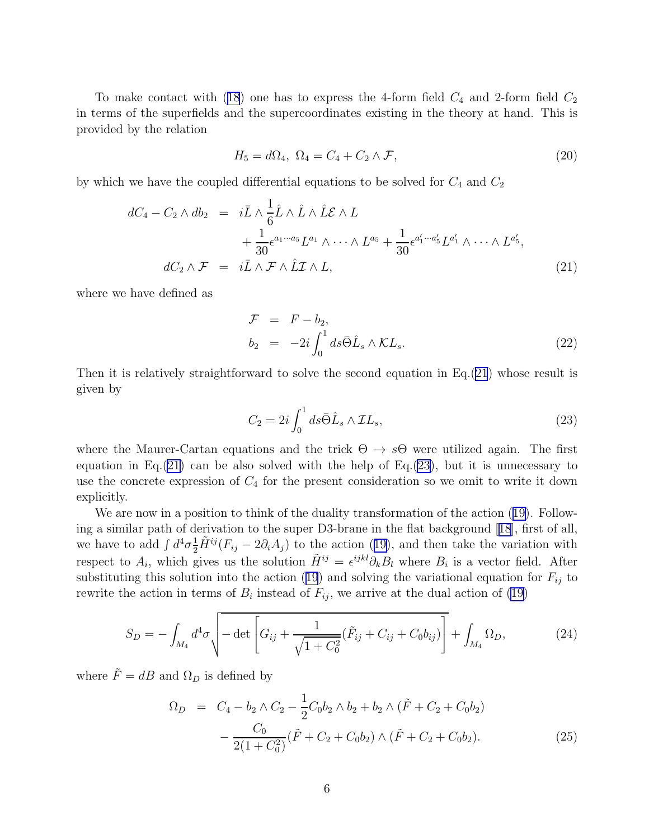<span id="page-6-0"></span>Tomake contact with ([18](#page-5-0)) one has to express the 4-form field  $C_4$  and 2-form field  $C_2$ in terms of the superfields and the supercoordinates existing in the theory at hand. This is provided by the relation

$$
H_5 = d\Omega_4, \ \Omega_4 = C_4 + C_2 \wedge \mathcal{F}, \tag{20}
$$

by which we have the coupled differential equations to be solved for  $C_4$  and  $C_2$ 

$$
dC_4 - C_2 \wedge db_2 = i\bar{L} \wedge \frac{1}{6} \hat{L} \wedge \hat{L} \wedge \hat{L} \mathcal{E} \wedge L + \frac{1}{30} \epsilon^{a_1 \cdots a_5} L^{a_1} \wedge \cdots \wedge L^{a_5} + \frac{1}{30} \epsilon^{a'_1 \cdots a'_5} L^{a'_1} \wedge \cdots \wedge L^{a'_5},
$$
  

$$
dC_2 \wedge \mathcal{F} = i\bar{L} \wedge \mathcal{F} \wedge \hat{L} \mathcal{I} \wedge L,
$$
 (21)

where we have defined as

$$
\mathcal{F} = F - b_2,
$$
  
\n
$$
b_2 = -2i \int_0^1 ds \bar{\Theta} \hat{L}_s \wedge \mathcal{K} L_s.
$$
\n(22)

Then it is relatively straightforward to solve the second equation in  $Eq.(21)$  whose result is given by

$$
C_2 = 2i \int_0^1 ds \bar{\Theta} \hat{L}_s \wedge \mathcal{I}L_s,\tag{23}
$$

where the Maurer-Cartan equations and the trick  $\Theta \to s\Theta$  were utilized again. The first equation in Eq.  $(21)$  can be also solved with the help of Eq.  $(23)$ , but it is unnecessary to use the concrete expression of  $C_4$  for the present consideration so we omit to write it down explicitly.

We are now in a position to think of the duality transformation of the action([19\)](#page-5-0). Following a similar path of derivation to the super D3-brane in the flat background[[18](#page-11-0)], first of all, wehave to add  $\int d^4\sigma \frac{1}{2}\tilde{H}^{ij}(F_{ij} - 2\partial_i A_j)$  to the action ([19\)](#page-5-0), and then take the variation with respect to  $A_i$ , which gives us the solution  $\tilde{H}^{ij} = \epsilon^{ijkl}\partial_k B_l$  where  $B_i$  is a vector field. After substitutingthis solution into the action ([19](#page-5-0)) and solving the variational equation for  $F_{ij}$  to rewrite the action in terms of  $B_i$  instead of  $F_{ij}$ , we arrive at the dual action of [\(19](#page-5-0))

$$
S_D = -\int_{M_4} d^4 \sigma \sqrt{-\det \left[ G_{ij} + \frac{1}{\sqrt{1 + C_0^2}} (\tilde{F}_{ij} + C_{ij} + C_0 b_{ij}) \right]} + \int_{M_4} \Omega_D, \tag{24}
$$

where  $\tilde{F} = dB$  and  $\Omega_D$  is defined by

$$
\Omega_D = C_4 - b_2 \wedge C_2 - \frac{1}{2} C_0 b_2 \wedge b_2 + b_2 \wedge (\tilde{F} + C_2 + C_0 b_2)
$$

$$
- \frac{C_0}{2(1 + C_0^2)} (\tilde{F} + C_2 + C_0 b_2) \wedge (\tilde{F} + C_2 + C_0 b_2).
$$
(25)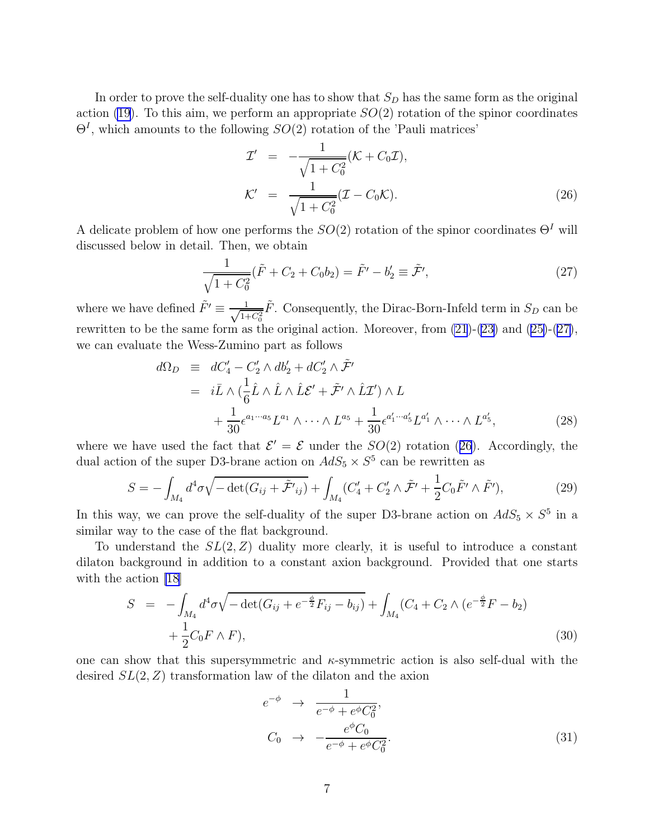<span id="page-7-0"></span>In order to prove the self-duality one has to show that  $S_D$  has the same form as the original action [\(19](#page-5-0)). To this aim, we perform an appropriate  $SO(2)$  rotation of the spinor coordinates  $\Theta^I$ , which amounts to the following  $SO(2)$  rotation of the 'Pauli matrices'

$$
\mathcal{I}' = -\frac{1}{\sqrt{1 + C_0^2}} (\mathcal{K} + C_0 \mathcal{I}),
$$
  
\n
$$
\mathcal{K}' = \frac{1}{\sqrt{1 + C_0^2}} (\mathcal{I} - C_0 \mathcal{K}).
$$
\n(26)

A delicate problem of how one performs the  $SO(2)$  rotation of the spinor coordinates  $\Theta<sup>I</sup>$  will discussed below in detail. Then, we obtain

$$
\frac{1}{\sqrt{1+C_0^2}}(\tilde{F}+C_2+C_0b_2)=\tilde{F'}-b'_2\equiv\tilde{\mathcal{F'}},\qquad(27)
$$

where we have defined  $\tilde{F}' \equiv \frac{1}{\sqrt{14}}$  $\frac{1}{1+C_0^2}\tilde{F}$ . Consequently, the Dirac-Born-Infeld term in  $S_D$  can be rewrittento be the same form as the original action. Moreover, from  $(21)-(23)$  $(21)-(23)$  $(21)-(23)$  and  $(25)-(27)$  $(25)-(27)$  $(25)-(27)$ , we can evaluate the Wess-Zumino part as follows

$$
d\Omega_D \equiv dC_4' - C_2' \wedge db_2' + dC_2' \wedge \tilde{\mathcal{F}}'
$$
  
=  $i\bar{L} \wedge (\frac{1}{6}\hat{L} \wedge \hat{L} \wedge \hat{L}\mathcal{E}' + \tilde{\mathcal{F}}' \wedge \hat{L}\mathcal{I}') \wedge L$   
+  $\frac{1}{30} \epsilon^{a_1 \cdots a_5} L^{a_1} \wedge \cdots \wedge L^{a_5} + \frac{1}{30} \epsilon^{a'_1 \cdots a'_5} L^{a'_1} \wedge \cdots \wedge L^{a'_5},$  (28)

where we have used the fact that  $\mathcal{E}' = \mathcal{E}$  under the  $SO(2)$  rotation (26). Accordingly, the dual action of the super D3-brane action on  $AdS_5 \times S^5$  can be rewritten as

$$
S = -\int_{M_4} d^4 \sigma \sqrt{-\det(G_{ij} + \tilde{\mathcal{F}}'_{ij})} + \int_{M_4} (C'_4 + C'_2 \wedge \tilde{\mathcal{F}}' + \frac{1}{2} C_0 \tilde{F}' \wedge \tilde{F}'), \tag{29}
$$

In this way, we can prove the self-duality of the super D3-brane action on  $AdS_5 \times S^5$  in a similar way to the case of the flat background.

To understand the  $SL(2, Z)$  duality more clearly, it is useful to introduce a constant dilaton background in addition to a constant axion background. Provided that one starts with the action [\[18\]](#page-11-0)

$$
S = -\int_{M_4} d^4 \sigma \sqrt{-\det(G_{ij} + e^{-\frac{\phi}{2}} F_{ij} - b_{ij})} + \int_{M_4} (C_4 + C_2 \wedge (e^{-\frac{\phi}{2}} F - b_2) + \frac{1}{2} C_0 F \wedge F), \tag{30}
$$

one can show that this supersymmetric and  $\kappa$ -symmetric action is also self-dual with the desired  $SL(2, Z)$  transformation law of the dilaton and the axion

$$
e^{-\phi} \rightarrow \frac{1}{e^{-\phi} + e^{\phi}C_0^2},
$$
  
\n
$$
C_0 \rightarrow -\frac{e^{\phi}C_0}{e^{-\phi} + e^{\phi}C_0^2}.
$$
\n(31)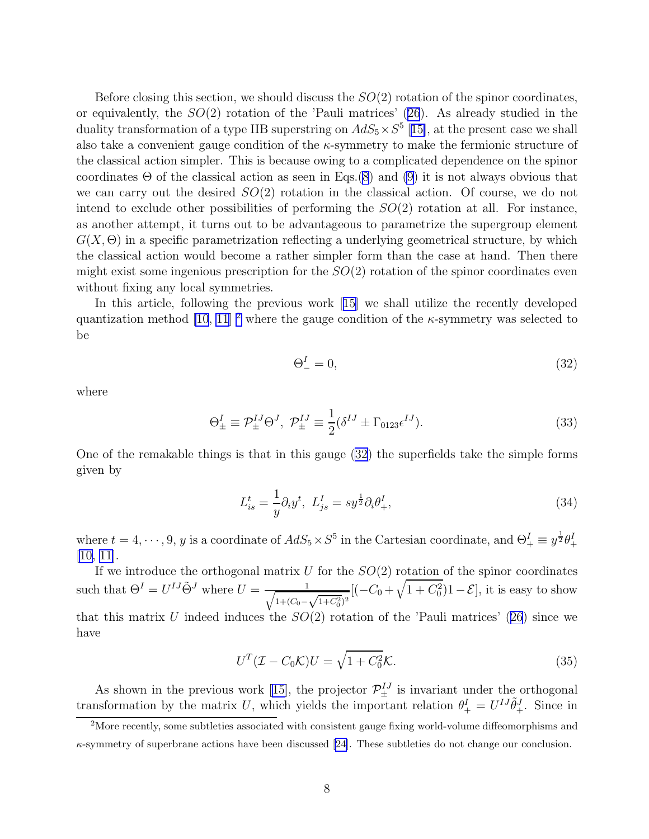<span id="page-8-0"></span>Before closing this section, we should discuss the  $SO(2)$  rotation of the spinor coordinates, orequivalently, the  $SO(2)$  rotation of the 'Pauli matrices'  $(26)$  $(26)$  $(26)$ . As already studied in the duality transformation of a type IIB superstring on  $AdS_5 \times S^5$  [[15\]](#page-11-0), at the present case we shall also take a convenient gauge condition of the  $\kappa$ -symmetry to make the fermionic structure of the classical action simpler. This is because owing to a complicated dependence on the spinor coordinates  $\Theta$  of the classical action as seen in Eqs.[\(8](#page-3-0)) and [\(9](#page-4-0)) it is not always obvious that we can carry out the desired  $SO(2)$  rotation in the classical action. Of course, we do not intend to exclude other possibilities of performing the  $SO(2)$  rotation at all. For instance, as another attempt, it turns out to be advantageous to parametrize the supergroup element  $G(X, \Theta)$  in a specific parametrization reflecting a underlying geometrical structure, by which the classical action would become a rather simpler form than the case at hand. Then there might exist some ingenious prescription for the  $SO(2)$  rotation of the spinor coordinates even without fixing any local symmetries.

In this article, following the previous work[[15\]](#page-11-0) we shall utilize the recently developed quantization method [\[10](#page-10-0), [11\]](#page-10-0) <sup>2</sup> where the gauge condition of the  $\kappa$ -symmetry was selected to be

$$
\Theta_-^I = 0,\tag{32}
$$

where

$$
\Theta_{\pm}^{I} \equiv \mathcal{P}_{\pm}^{IJ} \Theta^{J}, \ \mathcal{P}_{\pm}^{IJ} \equiv \frac{1}{2} (\delta^{IJ} \pm \Gamma_{0123} \epsilon^{IJ}). \tag{33}
$$

One of the remakable things is that in this gauge (32) the superfields take the simple forms given by

$$
L_{is}^t = \frac{1}{y} \partial_i y^t, \ L_{js}^I = s y^{\frac{1}{2}} \partial_i \theta_+^I,\tag{34}
$$

where  $t = 4, \dots, 9, y$  is a coordinate of  $AdS_5 \times S^5$  in the Cartesian coordinate, and  $\Theta^I_+ \equiv y^{\frac{1}{2}} \theta^I_+$ [\[10, 11\]](#page-10-0).

If we introduce the orthogonal matrix  $U$  for the  $SO(2)$  rotation of the spinor coordinates such that  $\Theta^I = U^{IJ} \tilde{\Theta}^J$  where  $U = \frac{1}{\sqrt{1 + (C_0 - \frac{C_0}{\lambda})}}$  $\frac{1}{1+(C_0-\sqrt{1+C_0^2})^2} [(-C_0+\sqrt{1+C_0^2})1-\mathcal{E}],$  it is easy to show thatthis matrix U indeed induces the  $SO(2)$  rotation of the 'Pauli matrices' ([26](#page-7-0)) since we have

$$
UT(\mathcal{I} - C_0\mathcal{K})U = \sqrt{1 + C_0^2}\mathcal{K}.
$$
\n(35)

As shown in the previous work [\[15\]](#page-11-0), the projector  $\mathcal{P}_{\pm}^{IJ}$  is invariant under the orthogonal transformation by the matrix U, which yields the important relation  $\theta^I_+ = U^{IJ}\tilde{\theta}^J_+$ . Since in

<sup>&</sup>lt;sup>2</sup>More recently, some subtleties associated with consistent gauge fixing world-volume diffeomorphisms and  $\kappa$ -symmetryof superbrane actions have been discussed [[24\]](#page-11-0). These subtleties do not change our conclusion.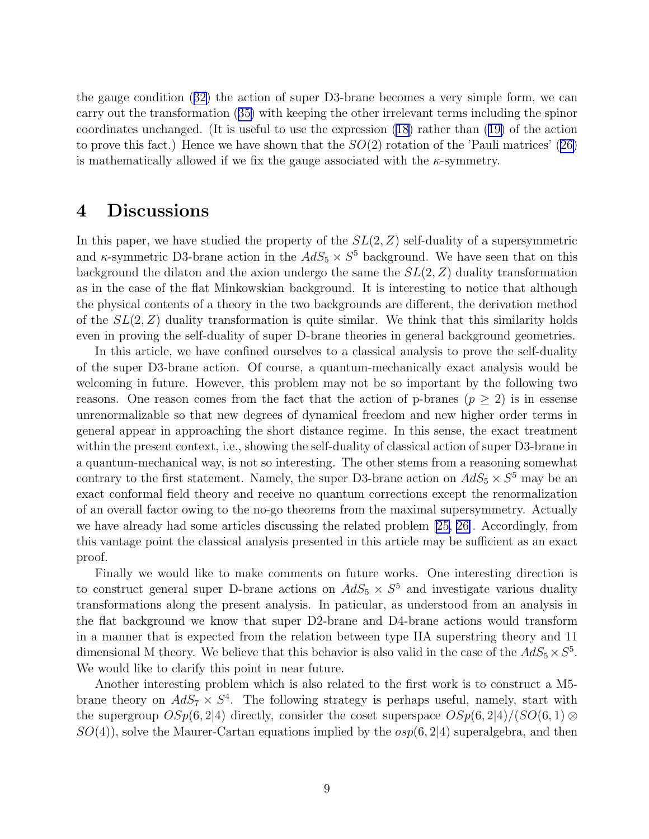the gauge condition([32\)](#page-8-0) the action of super D3-brane becomes a very simple form, we can carry out the transformation([35\)](#page-8-0) with keeping the other irrelevant terms including the spinor coordinates unchanged. (It is useful to use the expression [\(18\)](#page-5-0) rather than([19\)](#page-5-0) of the action toprove this fact.) Hence we have shown that the  $SO(2)$  rotation of the 'Pauli matrices' ([26\)](#page-7-0) is mathematically allowed if we fix the gauge associated with the  $\kappa$ -symmetry.

#### 4 Discussions

In this paper, we have studied the property of the  $SL(2, Z)$  self-duality of a supersymmetric and  $\kappa$ -symmetric D3-brane action in the  $AdS_5 \times S^5$  background. We have seen that on this background the dilaton and the axion undergo the same the  $SL(2, Z)$  duality transformation as in the case of the flat Minkowskian background. It is interesting to notice that although the physical contents of a theory in the two backgrounds are different, the derivation method of the  $SL(2, Z)$  duality transformation is quite similar. We think that this similarity holds even in proving the self-duality of super D-brane theories in general background geometries.

In this article, we have confined ourselves to a classical analysis to prove the self-duality of the super D3-brane action. Of course, a quantum-mechanically exact analysis would be welcoming in future. However, this problem may not be so important by the following two reasons. One reason comes from the fact that the action of p-branes  $(p \geq 2)$  is in essense unrenormalizable so that new degrees of dynamical freedom and new higher order terms in general appear in approaching the short distance regime. In this sense, the exact treatment within the present context, i.e., showing the self-duality of classical action of super D3-brane in a quantum-mechanical way, is not so interesting. The other stems from a reasoning somewhat contrary to the first statement. Namely, the super D3-brane action on  $AdS_5 \times S^5$  may be an exact conformal field theory and receive no quantum corrections except the renormalization of an overall factor owing to the no-go theorems from the maximal supersymmetry. Actually we have already had some articles discussing the related problem [\[25,](#page-11-0) [26\]](#page-11-0). Accordingly, from this vantage point the classical analysis presented in this article may be sufficient as an exact proof.

Finally we would like to make comments on future works. One interesting direction is to construct general super D-brane actions on  $AdS_5 \times S^5$  and investigate various duality transformations along the present analysis. In paticular, as understood from an analysis in the flat background we know that super D2-brane and D4-brane actions would transform in a manner that is expected from the relation between type IIA superstring theory and 11 dimensional M theory. We believe that this behavior is also valid in the case of the  $AdS_5 \times S^5$ . We would like to clarify this point in near future.

Another interesting problem which is also related to the first work is to construct a M5 brane theory on  $AdS_7 \times S^4$ . The following strategy is perhaps useful, namely, start with the supergroup  $OSp(6, 2|4)$  directly, consider the coset superspace  $OSp(6, 2|4)/(SO(6, 1) \otimes$  $SO(4)$ , solve the Maurer-Cartan equations implied by the  $osp(6, 2|4)$  superalgebra, and then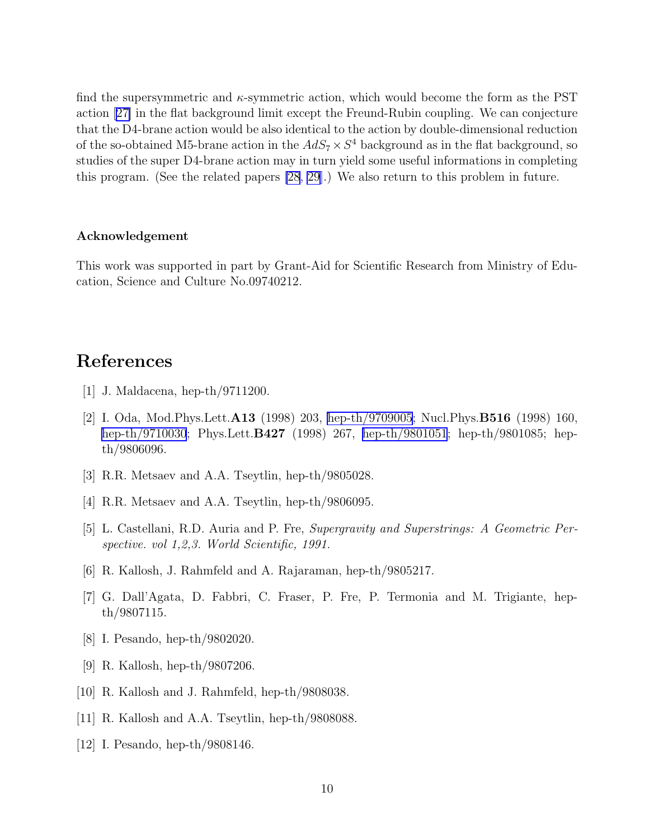<span id="page-10-0"></span>find the supersymmetric and  $\kappa$ -symmetric action, which would become the form as the PST action[[27\]](#page-11-0) in the flat background limit except the Freund-Rubin coupling. We can conjecture that the D4-brane action would be also identical to the action by double-dimensional reduction of the so-obtained M5-brane action in the  $AdS_7 \times S^4$  background as in the flat background, so studies of the super D4-brane action may in turn yield some useful informations in completing this program. (See the related papers [\[28](#page-11-0), [29](#page-11-0)].) We also return to this problem in future.

#### Acknowledgement

This work was supported in part by Grant-Aid for Scientific Research from Ministry of Education, Science and Culture No.09740212.

### References

- [1] J. Maldacena, hep-th/9711200.
- [2] I. Oda, Mod.Phys.Lett.A13 (1998) 203, [hep-th/9709005](http://arxiv.org/abs/hep-th/9709005); Nucl.Phys.B516 (1998) 160, [hep-th/9710030](http://arxiv.org/abs/hep-th/9710030); Phys.Lett.B427 (1998) 267, [hep-th/9801051](http://arxiv.org/abs/hep-th/9801051); hep-th/9801085; hepth/9806096.
- [3] R.R. Metsaev and A.A. Tseytlin, hep-th/9805028.
- [4] R.R. Metsaev and A.A. Tseytlin, hep-th/9806095.
- [5] L. Castellani, R.D. Auria and P. Fre, Supergravity and Superstrings: A Geometric Perspective. vol 1,2,3. World Scientific, 1991.
- [6] R. Kallosh, J. Rahmfeld and A. Rajaraman, hep-th/9805217.
- [7] G. Dall'Agata, D. Fabbri, C. Fraser, P. Fre, P. Termonia and M. Trigiante, hepth/9807115.
- [8] I. Pesando, hep-th/9802020.
- [9] R. Kallosh, hep-th/9807206.
- [10] R. Kallosh and J. Rahmfeld, hep-th/9808038.
- [11] R. Kallosh and A.A. Tseytlin, hep-th/9808088.
- [12] I. Pesando, hep-th/9808146.